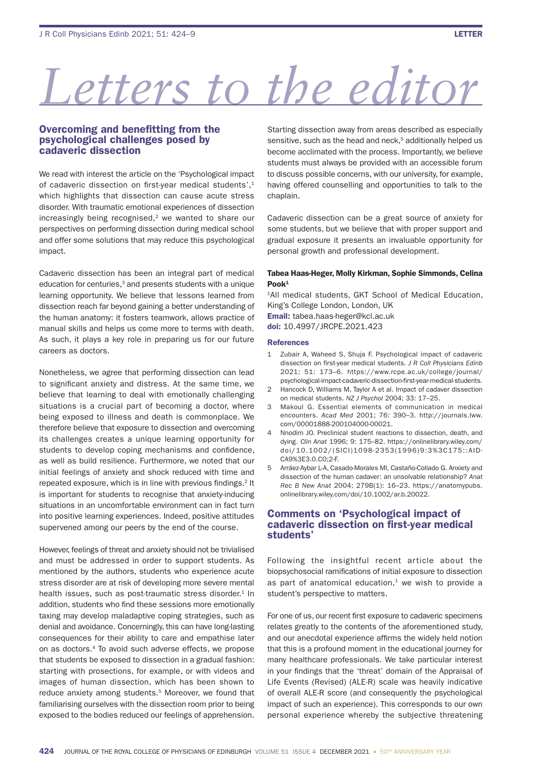# *Letters to the editor*

# Overcoming and benefitting from the psychological challenges posed by cadaveric dissection

We read with interest the article on the 'Psychological impact of cadaveric dissection on first-year medical students', $1$ which highlights that dissection can cause acute stress disorder. With traumatic emotional experiences of dissection increasingly being recognised, $2$  we wanted to share our perspectives on performing dissection during medical school and offer some solutions that may reduce this psychological impact.

Cadaveric dissection has been an integral part of medical education for centuries,<sup>3</sup> and presents students with a unique learning opportunity. We believe that lessons learned from dissection reach far beyond gaining a better understanding of the human anatomy: it fosters teamwork, allows practice of manual skills and helps us come more to terms with death. As such, it plays a key role in preparing us for our future careers as doctors.

Nonetheless, we agree that performing dissection can lead to significant anxiety and distress. At the same time, we believe that learning to deal with emotionally challenging situations is a crucial part of becoming a doctor, where being exposed to illness and death is commonplace. We therefore believe that exposure to dissection and overcoming its challenges creates a unique learning opportunity for students to develop coping mechanisms and confidence, as well as build resilience. Furthermore, we noted that our initial feelings of anxiety and shock reduced with time and repeated exposure, which is in line with previous findings.<sup>2</sup> It is important for students to recognise that anxiety-inducing situations in an uncomfortable environment can in fact turn into positive learning experiences. Indeed, positive attitudes supervened among our peers by the end of the course.

However, feelings of threat and anxiety should not be trivialised and must be addressed in order to support students. As mentioned by the authors, students who experience acute stress disorder are at risk of developing more severe mental health issues, such as post-traumatic stress disorder.<sup>1</sup> In addition, students who find these sessions more emotionally taxing may develop maladaptive coping strategies, such as denial and avoidance. Concerningly, this can have long-lasting consequences for their ability to care and empathise later on as doctors.4 To avoid such adverse effects, we propose that students be exposed to dissection in a gradual fashion: starting with prosections, for example, or with videos and images of human dissection, which has been shown to reduce anxiety among students.<sup>5</sup> Moreover, we found that familiarising ourselves with the dissection room prior to being exposed to the bodies reduced our feelings of apprehension.

Starting dissection away from areas described as especially sensitive, such as the head and neck,<sup>5</sup> additionally helped us become acclimated with the process. Importantly, we believe students must always be provided with an accessible forum to discuss possible concerns, with our university, for example, having offered counselling and opportunities to talk to the chaplain.

Cadaveric dissection can be a great source of anxiety for some students, but we believe that with proper support and gradual exposure it presents an invaluable opportunity for personal growth and professional development.

## Tabea Haas-Heger, Molly Kirkman, Sophie Simmonds, Celina  $Pool<sup>1</sup>$

<sup>1</sup>All medical students, GKT School of Medical Education, King's College London, London, UK Email: tabea.haas-heger@kcl.ac.uk doi: 10.4997/JRCPE.2021.423

#### References

- 1 Zubair A, Waheed S, Shuja F. Psychological impact of cadaveric dissection on first-year medical students. *J R Coll Physicians Edinb* 2021; 51: 173–6. https://www.rcpe.ac.uk/college/journal/ psychological-impact-cadaveric-dissection-first-year-medical-students.
- 2 Hancock D, Williams M, Taylor A et al. Impact of cadaver dissection on medical students. *NZ J Psychol* 2004; 33: 17–25.
- 3 Makoul G. Essential elements of communication in medical encounters. *Acad Med* 2001; 76: 390–3. http://journals.lww. com/00001888-200104000-00021.
- 4 Nnodim JO. Preclinical student reactions to dissection, death, and dying. *Clin Anat* 1996; 9: 175–82. https://onlinelibrary.wiley.com/ doi/10.1002/(SICI)1098-2353(1996)9:3%3C175::AID-CA9%3E3.0.CO;2-F.
- 5 Arráez-Aybar L-A, Casado-Morales MI, Castaño-Collado G. Anxiety and dissection of the human cadaver: an unsolvable relationship? *Anat Rec B New Anat* 2004; 279B(1): 16–23. https://anatomypubs. onlinelibrary.wiley.com/doi/10.1002/ar.b.20022.

# Comments on 'Psychological impact of cadaveric dissection on first-year medical students'

Following the insightful recent article about the biopsychosocial ramifications of initial exposure to dissection as part of anatomical education, $1$  we wish to provide a student's perspective to matters.

For one of us, our recent first exposure to cadaveric specimens relates greatly to the contents of the aforementioned study, and our anecdotal experience affirms the widely held notion that this is a profound moment in the educational journey for many healthcare professionals. We take particular interest in your findings that the 'threat' domain of the Appraisal of Life Events (Revised) (ALE-R) scale was heavily indicative of overall ALE-R score (and consequently the psychological impact of such an experience). This corresponds to our own personal experience whereby the subjective threatening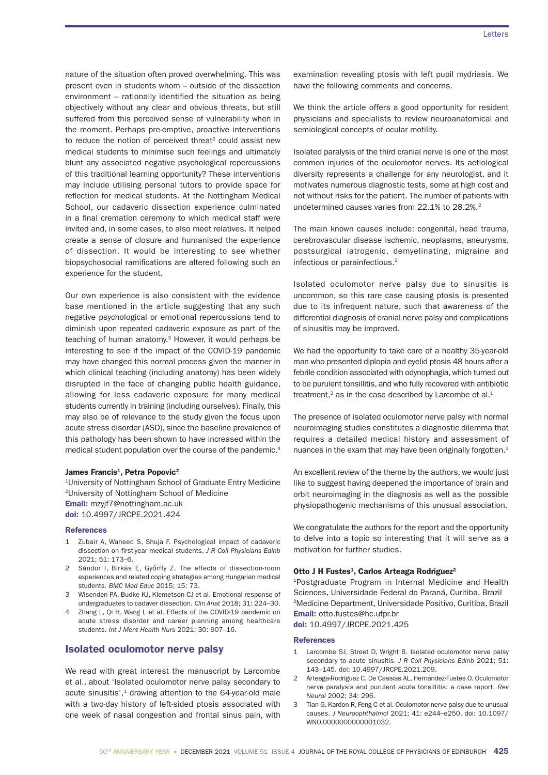nature of the situation often proved overwhelming. This was present even in students whom – outside of the dissection environment  $-$  rationally identified the situation as being objectively without any clear and obvious threats, but still suffered from this perceived sense of vulnerability when in the moment. Perhaps pre-emptive, proactive interventions to reduce the notion of perceived threat<sup>2</sup> could assist new medical students to minimise such feelings and ultimately blunt any associated negative psychological repercussions of this traditional learning opportunity? These interventions may include utilising personal tutors to provide space for reflection for medical students. At the Nottingham Medical School, our cadaveric dissection experience culminated in a final cremation ceremony to which medical staff were invited and, in some cases, to also meet relatives. It helped create a sense of closure and humanised the experience of dissection. It would be interesting to see whether biopsychosocial ramifications are altered following such an experience for the student.

Our own experience is also consistent with the evidence base mentioned in the article suggesting that any such negative psychological or emotional repercussions tend to diminish upon repeated cadaveric exposure as part of the teaching of human anatomy.<sup>3</sup> However, it would perhaps be interesting to see if the impact of the COVID-19 pandemic may have changed this normal process given the manner in which clinical teaching (including anatomy) has been widely disrupted in the face of changing public health guidance, allowing for less cadaveric exposure for many medical students currently in training (including ourselves). Finally, this may also be of relevance to the study given the focus upon acute stress disorder (ASD), since the baseline prevalence of this pathology has been shown to have increased within the medical student population over the course of the pandemic.4

#### James Francis<sup>1</sup>, Petra Popovic<sup>2</sup>

1University of Nottingham School of Graduate Entry Medicine 2University of Nottingham School of Medicine Email: mzyjf7@nottingham.ac.uk doi: 10.4997/JRCPE.2021.424

#### References

- 1 Zubair A, Waheed S, Shuja F. Psychological impact of cadaveric dissection on first-year medical students. *J R Coll Physicians Edinb* 2021; 51: 173–6.
- Sándor I, Birkás E, Győrffy Z. The effects of dissection-room experiences and related coping strategies among Hungarian medical students. *BMC Med Educ* 2015; 15: 73.
- 3 Wisenden PA, Budke KJ, Klemetson CJ et al. Emotional response of undergraduates to cadaver dissection. *Clin Anat* 2018; 31: 224–30.
- 4 Zhang L, Qi H, Wang L et al. Effects of the COVID-19 pandemic on acute stress disorder and career planning among healthcare students. *Int J Ment Health Nurs* 2021; 30: 907–16.

# Isolated oculomotor nerve palsy

We read with great interest the manuscript by Larcombe et al., about 'Isolated oculomotor nerve palsy secondary to acute sinusitis'.<sup>1</sup> drawing attention to the 64-year-old male with a two-day history of left-sided ptosis associated with one week of nasal congestion and frontal sinus pain, with examination revealing ptosis with left pupil mydriasis. We have the following comments and concerns.

We think the article offers a good opportunity for resident physicians and specialists to review neuroanatomical and semiological concepts of ocular motility.

Isolated paralysis of the third cranial nerve is one of the most common injuries of the oculomotor nerves. Its aetiological diversity represents a challenge for any neurologist, and it motivates numerous diagnostic tests, some at high cost and not without risks for the patient. The number of patients with undetermined causes varies from 22.1% to 28.2%.<sup>2</sup>

The main known causes include: congenital, head trauma, cerebrovascular disease ischemic, neoplasms, aneurysms, postsurgical iatrogenic, demyelinating, migraine and infectious or parainfectious.2

Isolated oculomotor nerve palsy due to sinusitis is uncommon, so this rare case causing ptosis is presented due to its infrequent nature, such that awareness of the differential diagnosis of cranial nerve palsy and complications of sinusitis may be improved.

We had the opportunity to take care of a healthy 35-year-old man who presented diplopia and eyelid ptosis 48 hours after a febrile condition associated with odynophagia, which turned out to be purulent tonsillitis, and who fully recovered with antibiotic treatment, $2$  as in the case described by Larcombe et al. $1$ 

The presence of isolated oculomotor nerve palsy with normal neuroimaging studies constitutes a diagnostic dilemma that requires a detailed medical history and assessment of nuances in the exam that may have been originally forgotten.<sup>3</sup>

An excellent review of the theme by the authors, we would just like to suggest having deepened the importance of brain and orbit neuroimaging in the diagnosis as well as the possible physiopathogenic mechanisms of this unusual association.

We congratulate the authors for the report and the opportunity to delve into a topic so interesting that it will serve as a motivation for further studies.

## Otto J H Fustes<sup>1</sup>, Carlos Arteaga Rodriguez<sup>2</sup>

1Postgraduate Program in Internal Medicine and Health Sciences, Universidade Federal do Paraná, Curitiba, Brazil 2Medicine Department, Universidade Positivo, Curitiba, Brazil Email: otto.fustes@hc.ufpr.br doi: 10.4997/JRCPE.2021.425

#### **References**

- 1 Larcombe SJ, Street D, Wright B. Isolated oculomotor nerve palsy secondary to acute sinusitis. *J R Coll Physicians Edinb* 2021; 51: 143–145. doi: 10.4997/JRCPE.2021.209.
- 2 Arteaga-Rodríguez C, De Cassias AL, Hernández-Fustes O. Oculomotor nerve paralysis and purulent acute tonsillitis: a case report. *Rev Neurol* 2002; 34: 296.
- 3 Tian G, Kardon R, Feng C et al. Oculomotor nerve palsy due to unusual causes. *J Neuroophthalmol* 2021; 41: e244–e250. doi: 10.1097/ WNO.0000000000001032.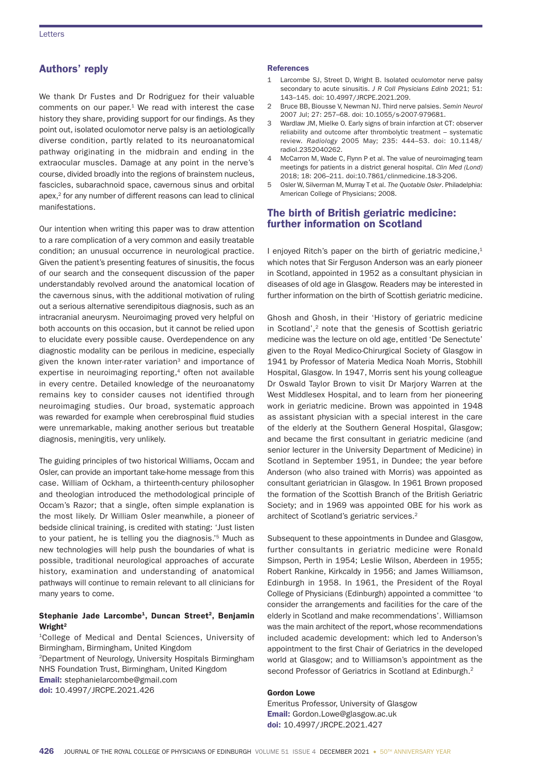# Authors' reply

We thank Dr Fustes and Dr Rodriguez for their valuable comments on our paper. $1$  We read with interest the case history they share, providing support for our findings. As they point out, isolated oculomotor nerve palsy is an aetiologically diverse condition, partly related to its neuroanatomical pathway originating in the midbrain and ending in the extraocular muscles. Damage at any point in the nerve's course, divided broadly into the regions of brainstem nucleus, fascicles, subarachnoid space, cavernous sinus and orbital apex,2 for any number of different reasons can lead to clinical manifestations.

Our intention when writing this paper was to draw attention to a rare complication of a very common and easily treatable condition; an unusual occurrence in neurological practice. Given the patient's presenting features of sinusitis, the focus of our search and the consequent discussion of the paper understandably revolved around the anatomical location of the cavernous sinus, with the additional motivation of ruling out a serious alternative serendipitous diagnosis, such as an intracranial aneurysm. Neuroimaging proved very helpful on both accounts on this occasion, but it cannot be relied upon to elucidate every possible cause. Overdependence on any diagnostic modality can be perilous in medicine, especially given the known inter-rater variation<sup>3</sup> and importance of expertise in neuroimaging reporting,<sup>4</sup> often not available in every centre. Detailed knowledge of the neuroanatomy remains key to consider causes not identified through neuroimaging studies. Our broad, systematic approach was rewarded for example when cerebrospinal fluid studies were unremarkable, making another serious but treatable diagnosis, meningitis, very unlikely.

The guiding principles of two historical Williams, Occam and Osler, can provide an important take-home message from this case. William of Ockham, a thirteenth-century philosopher and theologian introduced the methodological principle of Occam's Razor; that a single, often simple explanation is the most likely. Dr William Osler meanwhile, a pioneer of bedside clinical training, is credited with stating: 'Just listen to your patient, he is telling you the diagnosis.'<sup>5</sup> Much as new technologies will help push the boundaries of what is possible, traditional neurological approaches of accurate history, examination and understanding of anatomical pathways will continue to remain relevant to all clinicians for many years to come.

## Stephanie Jade Larcombe<sup>1</sup>, Duncan Street<sup>2</sup>, Benjamin Wright<sup>2</sup>

1College of Medical and Dental Sciences, University of Birmingham, Birmingham, United Kingdom 2Department of Neurology, University Hospitals Birmingham NHS Foundation Trust, Birmingham, United Kingdom Email: stephanielarcombe@gmail.com doi: 10.4997/JRCPE.2021.426

#### **References**

- 1 Larcombe SJ, Street D, Wright B. Isolated oculomotor nerve palsy secondary to acute sinusitis. *J R Coll Physicians Edinb* 2021; 51: 143–145. doi: 10.4997/JRCPE.2021.209.
- 2 Bruce BB, Biousse V, Newman NJ. Third nerve palsies. *Semin Neurol* 2007 Jul; 27: 257–68. doi: 10.1055/s-2007-979681.
- Wardlaw JM, Mielke O. Early signs of brain infarction at CT: observer reliability and outcome after thrombolytic treatment – systematic review. *Radiology* 2005 May; 235: 444–53. doi: 10.1148/ radiol.2352040262.
- 4 McCarron M, Wade C, Flynn P et al. The value of neuroimaging team meetings for patients in a district general hospital. *Clin Med (Lond)* 2018; 18: 206–211. doi:10.7861/clinmedicine.18-3-206.
- 5 Osler W, Silverman M, Murray T et al. *The Quotable Osler*. Philadelphia: American College of Physicians; 2008.

# The birth of British geriatric medicine: further information on Scotland

I enjoyed Ritch's paper on the birth of geriatric medicine, $1$ which notes that Sir Ferguson Anderson was an early pioneer in Scotland, appointed in 1952 as a consultant physician in diseases of old age in Glasgow. Readers may be interested in further information on the birth of Scottish geriatric medicine.

Ghosh and Ghosh, in their 'History of geriatric medicine in Scotland',<sup>2</sup> note that the genesis of Scottish geriatric medicine was the lecture on old age, entitled 'De Senectute' given to the Royal Medico-Chirurgical Society of Glasgow in 1941 by Professor of Materia Medica Noah Morris, Stobhill Hospital, Glasgow. In 1947, Morris sent his young colleague Dr Oswald Taylor Brown to visit Dr Marjory Warren at the West Middlesex Hospital, and to learn from her pioneering work in geriatric medicine. Brown was appointed in 1948 as assistant physician with a special interest in the care of the elderly at the Southern General Hospital, Glasgow; and became the first consultant in geriatric medicine (and senior lecturer in the University Department of Medicine) in Scotland in September 1951, in Dundee; the year before Anderson (who also trained with Morris) was appointed as consultant geriatrician in Glasgow. In 1961 Brown proposed the formation of the Scottish Branch of the British Geriatric Society; and in 1969 was appointed OBE for his work as architect of Scotland's geriatric services.2

Subsequent to these appointments in Dundee and Glasgow, further consultants in geriatric medicine were Ronald Simpson, Perth in 1954; Leslie Wilson, Aberdeen in 1955; Robert Rankine, Kirkcaldy in 1956; and James Williamson, Edinburgh in 1958. In 1961, the President of the Royal College of Physicians (Edinburgh) appointed a committee 'to consider the arrangements and facilities for the care of the elderly in Scotland and make recommendations'. Williamson was the main architect of the report,whose recommendations included academic development: which led to Anderson's appointment to the first Chair of Geriatrics in the developed world at Glasgow; and to Williamson's appointment as the second Professor of Geriatrics in Scotland at Edinburgh.<sup>2</sup>

## Gordon Lowe

Emeritus Professor, University of Glasgow Email: Gordon.Lowe@glasgow.ac.uk doi: 10.4997/JRCPE.2021.427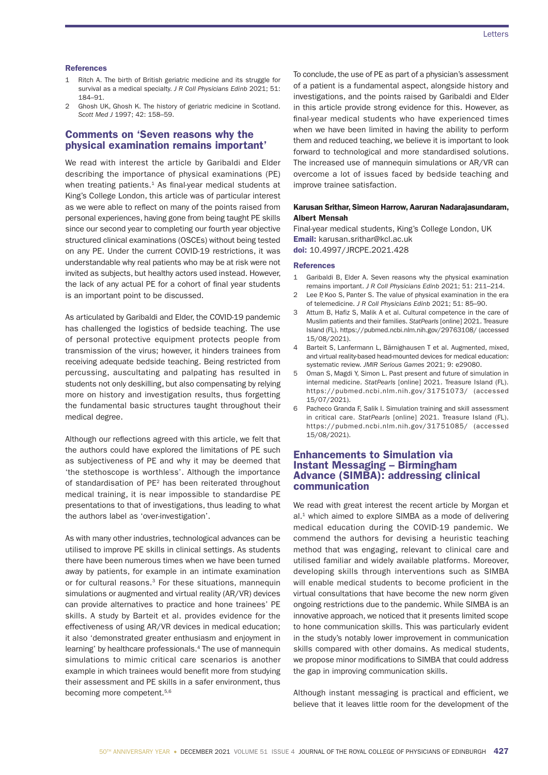#### **References**

- 1 Ritch A. The birth of British geriatric medicine and its struggle for survival as a medical specialty. *J R Coll Physicians Edinb* 2021; 51: 184–91.
- Ghosh UK, Ghosh K. The history of geriatric medicine in Scotland. *Scott Med J* 1997; 42: 158–59.

# Comments on 'Seven reasons why the physical examination remains important'

We read with interest the article by Garibaldi and Elder describing the importance of physical examinations (PE) when treating patients. $1$  As final-year medical students at King's College London, this article was of particular interest as we were able to reflect on many of the points raised from personal experiences, having gone from being taught PE skills since our second year to completing our fourth year objective structured clinical examinations (OSCEs) without being tested on any PE. Under the current COVID-19 restrictions, it was understandable why real patients who may be at risk were not invited as subjects, but healthy actors used instead. However, the lack of any actual PE for a cohort of final year students is an important point to be discussed.

As articulated by Garibaldi and Elder, the COVID-19 pandemic has challenged the logistics of bedside teaching. The use of personal protective equipment protects people from transmission of the virus; however, it hinders trainees from receiving adequate bedside teaching. Being restricted from percussing, auscultating and palpating has resulted in students not only deskilling, but also compensating by relying more on history and investigation results, thus forgetting the fundamental basic structures taught throughout their medical degree.

Although our reflections agreed with this article, we felt that the authors could have explored the limitations of PE such as subjectiveness of PE and why it may be deemed that 'the stethoscope is worthless'. Although the importance of standardisation of PE2 has been reiterated throughout medical training, it is near impossible to standardise PE presentations to that of investigations, thus leading to what the authors label as 'over-investigation'.

As with many other industries, technological advances can be utilised to improve PE skills in clinical settings. As students there have been numerous times when we have been turned away by patients, for example in an intimate examination or for cultural reasons.<sup>3</sup> For these situations, mannequin simulations or augmented and virtual reality (AR/VR) devices can provide alternatives to practice and hone trainees' PE skills. A study by Barteit et al. provides evidence for the effectiveness of using AR/VR devices in medical education; it also 'demonstrated greater enthusiasm and enjoyment in learning' by healthcare professionals.4 The use of mannequin simulations to mimic critical care scenarios is another example in which trainees would benefit more from studying their assessment and PE skills in a safer environment, thus becoming more competent.<sup>5,6</sup>

To conclude, the use of PE as part of a physician's assessment of a patient is a fundamental aspect, alongside history and investigations, and the points raised by Garibaldi and Elder in this article provide strong evidence for this. However, as final-year medical students who have experienced times when we have been limited in having the ability to perform them and reduced teaching, we believe it is important to look forward to technological and more standardised solutions. The increased use of mannequin simulations or AR/VR can overcome a lot of issues faced by bedside teaching and improve trainee satisfaction.

## Karusan Srithar, Simeon Harrow, Aaruran Nadarajasundaram, Albert Mensah

Final-year medical students, King's College London, UK Email: karusan.srithar@kcl.ac.uk doi: 10.4997/JRCPE.2021.428

#### **References**

- 1 Garibaldi B, Elder A. Seven reasons why the physical examination remains important. *J R Coll Physicians Edinb* 2021; 51: 211–214.
- 2 Lee P, Koo S, Panter S. The value of physical examination in the era of telemedicine. *J R Coll Physicians Edinb* 2021; 51: 85–90.
- 3 Attum B, Hafiz S, Malik A et al. Cultural competence in the care of Muslim patients and their families. *StatPearls* [online] 2021. Treasure Island (FL). https://pubmed.ncbi.nlm.nih.gov/29763108/ (accessed 15/08/2021).
- 4 Barteit S, Lanfermann L, Bärnighausen T et al. Augmented, mixed, and virtual reality-based head-mounted devices for medical education: systematic review. *JMIR Serious Games* 2021; 9: e29080.
- 5 Oman S, Magdi Y, Simon L. Past present and future of simulation in internal medicine. *StatPearls* [online] 2021. Treasure Island (FL). https://pubmed.ncbi.nlm.nih.gov/31751073/ (accessed 15/07/2021).
- 6 Pacheco Granda F, Salik I. Simulation training and skill assessment in critical care. *StatPearls* [online] 2021. Treasure Island (FL). https://pubmed.ncbi.nlm.nih.gov/31751085/ (accessed 15/08/2021).

# Enhancements to Simulation via Instant Messaging – Birmingham Advance (SIMBA): addressing clinical communication

We read with great interest the recent article by Morgan et  $al.1$  which aimed to explore SIMBA as a mode of delivering medical education during the COVID-19 pandemic. We commend the authors for devising a heuristic teaching method that was engaging, relevant to clinical care and utilised familiar and widely available platforms. Moreover, developing skills through interventions such as SIMBA will enable medical students to become proficient in the virtual consultations that have become the new norm given ongoing restrictions due to the pandemic. While SIMBA is an innovative approach, we noticed that it presents limited scope to hone communication skills. This was particularly evident in the study's notably lower improvement in communication skills compared with other domains. As medical students, we propose minor modifications to SIMBA that could address the gap in improving communication skills.

Although instant messaging is practical and efficient, we believe that it leaves little room for the development of the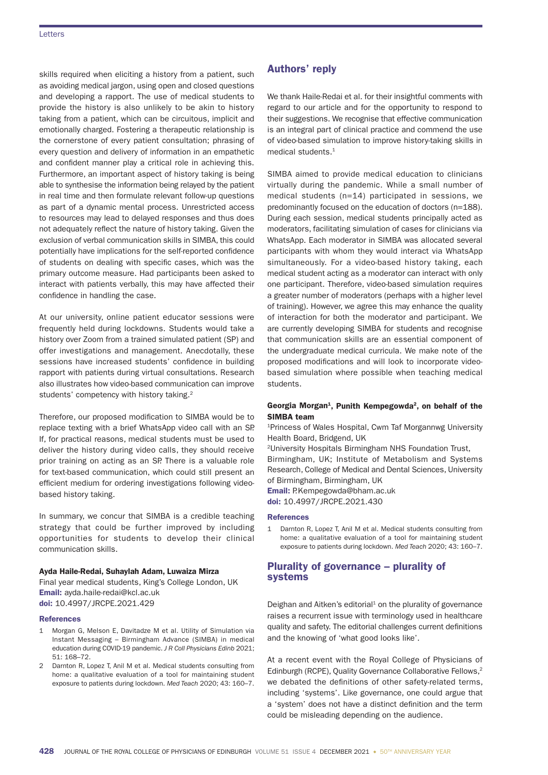## **Letters**

skills required when eliciting a history from a patient, such as avoiding medical jargon, using open and closed questions and developing a rapport. The use of medical students to provide the history is also unlikely to be akin to history taking from a patient, which can be circuitous, implicit and emotionally charged. Fostering a therapeutic relationship is the cornerstone of every patient consultation; phrasing of every question and delivery of information in an empathetic and confident manner play a critical role in achieving this. Furthermore, an important aspect of history taking is being able to synthesise the information being relayed by the patient in real time and then formulate relevant follow-up questions as part of a dynamic mental process. Unrestricted access to resources may lead to delayed responses and thus does not adequately reflect the nature of history taking. Given the exclusion of verbal communication skills in SIMBA, this could potentially have implications for the self-reported confidence of students on dealing with specific cases, which was the primary outcome measure. Had participants been asked to interact with patients verbally, this may have affected their confidence in handling the case.

At our university, online patient educator sessions were frequently held during lockdowns. Students would take a history over Zoom from a trained simulated patient (SP) and offer investigations and management. Anecdotally, these sessions have increased students' confidence in building rapport with patients during virtual consultations. Research also illustrates how video-based communication can improve students' competency with history taking.2

Therefore, our proposed modification to SIMBA would be to replace texting with a brief WhatsApp video call with an SP. If, for practical reasons, medical students must be used to deliver the history during video calls, they should receive prior training on acting as an SP. There is a valuable role for text-based communication, which could still present an efficient medium for ordering investigations following videobased history taking.

In summary, we concur that SIMBA is a credible teaching strategy that could be further improved by including opportunities for students to develop their clinical communication skills.

## Ayda Haile-Redai, Suhaylah Adam, Luwaiza Mirza

Final year medical students, King's College London, UK Email: ayda.haile-redai@kcl.ac.uk doi: 10.4997/JRCPE.2021.429

#### References

- 1 Morgan G, Melson E, Davitadze M et al. Utility of Simulation via Instant Messaging – Birmingham Advance (SIMBA) in medical education during COVID-19 pandemic. *J R Coll Physicians Edinb* 2021; 51: 168–72.
- 2 Darnton R, Lopez T, Anil M et al. Medical students consulting from home: a qualitative evaluation of a tool for maintaining student exposure to patients during lockdown. *Med Teach* 2020; 43: 160–7.

# Authors' reply

We thank Haile-Redai et al. for their insightful comments with regard to our article and for the opportunity to respond to their suggestions. We recognise that effective communication is an integral part of clinical practice and commend the use of video-based simulation to improve history-taking skills in medical students.<sup>1</sup>

SIMBA aimed to provide medical education to clinicians virtually during the pandemic. While a small number of medical students (n=14) participated in sessions, we predominantly focused on the education of doctors (n=188). During each session, medical students principally acted as moderators, facilitating simulation of cases for clinicians via WhatsApp. Each moderator in SIMBA was allocated several participants with whom they would interact via WhatsApp simultaneously. For a video-based history taking, each medical student acting as a moderator can interact with only one participant. Therefore, video-based simulation requires a greater number of moderators (perhaps with a higher level of training). However, we agree this may enhance the quality of interaction for both the moderator and participant. We are currently developing SIMBA for students and recognise that communication skills are an essential component of the undergraduate medical curricula. We make note of the proposed modifications and will look to incorporate videobased simulation where possible when teaching medical students.

## Georgia Morgan<sup>1</sup>, Punith Kempegowda<sup>2</sup>, on behalf of the SIMBA team

1Princess of Wales Hospital, Cwm Taf Morgannwg University Health Board, Bridgend, UK

2University Hospitals Birmingham NHS Foundation Trust,

Birmingham, UK; Institute of Metabolism and Systems Research, College of Medical and Dental Sciences, University of Birmingham, Birmingham, UK

Email: P.Kempegowda@bham.ac.uk doi: 10.4997/JRCPE.2021.430

#### **References**

1 Darnton R, Lopez T, Anil M et al. Medical students consulting from home: a qualitative evaluation of a tool for maintaining student exposure to patients during lockdown. *Med Teach* 2020; 43: 160–7.

# Plurality of governance – plurality of systems

Deighan and Aitken's editorial $1$  on the plurality of governance raises a recurrent issue with terminology used in healthcare quality and safety. The editorial challenges current definitions and the knowing of 'what good looks like'.

At a recent event with the Royal College of Physicians of Edinburgh (RCPE), Quality Governance Collaborative Fellows.<sup>2</sup> we debated the definitions of other safety-related terms, including 'systems'. Like governance, one could argue that a 'system' does not have a distinct definition and the term could be misleading depending on the audience.